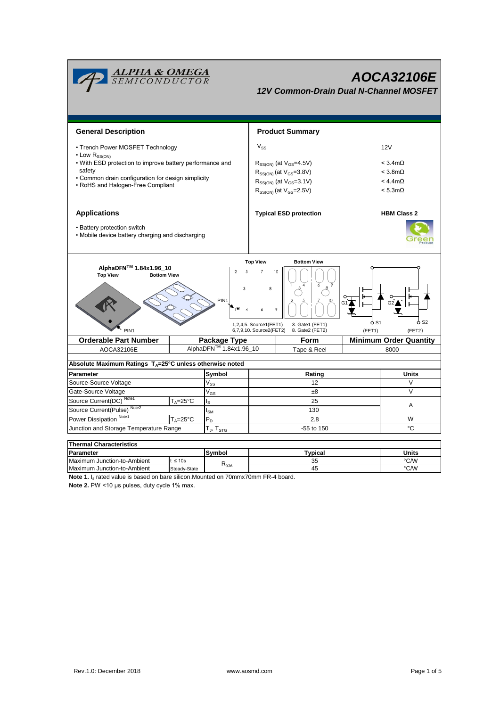

| <b>Thermal Characteristics</b> |              |                |          |       |  |  |  |  |  |  |
|--------------------------------|--------------|----------------|----------|-------|--|--|--|--|--|--|
| Parameter                      |              | Symbol         | Typical  | Units |  |  |  |  |  |  |
| Maximum Junction-to-Ambient    | $t \leq 10s$ |                | つら<br>ບປ | °C/W  |  |  |  |  |  |  |
| Maximum Junction-to-Ambient    | Steady-State | $R_{\theta$ JA | 45       | °C/W  |  |  |  |  |  |  |

**Note 1.** I<sub>s</sub> rated value is based on bare silicon.Mounted on 70mmx70mm FR-4 board.

**Note 2.** PW <10 μs pulses, duty cycle 1% max.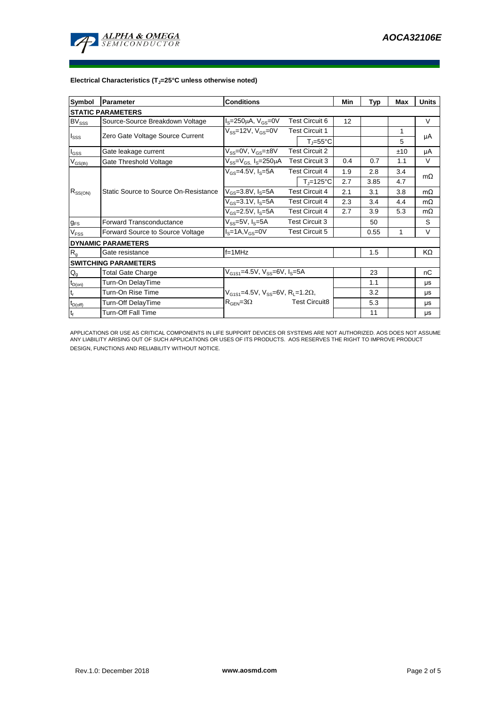

## **Electrical Characteristics (TJ=25°C unless otherwise noted)**

| Symbol                                 | <b>Conditions</b><br>Parameter        |                                                         |                       | Min                            | Typ | Max  | <b>Units</b> |           |  |  |  |  |  |
|----------------------------------------|---------------------------------------|---------------------------------------------------------|-----------------------|--------------------------------|-----|------|--------------|-----------|--|--|--|--|--|
| <b>STATIC PARAMETERS</b>               |                                       |                                                         |                       |                                |     |      |              |           |  |  |  |  |  |
| $BV_{SSS}$                             | Source-Source Breakdown Voltage       | <b>Test Circuit 6</b><br>$IS=250\mu A$ , $VGS=0V$       |                       | 12                             |     |      | V            |           |  |  |  |  |  |
| $I_{SSS}$                              | Zero Gate Voltage Source Current      | $V_{SS}$ =12V, $V_{GS}$ =0V                             | <b>Test Circuit 1</b> |                                |     |      | 1            | μA        |  |  |  |  |  |
|                                        |                                       |                                                         |                       | $T_i = 55^{\circ}C$            |     |      | 5            |           |  |  |  |  |  |
| $I_{GSS}$                              | Gate leakage current                  | $V_{SS}=0V, V_{GS}=±8V$                                 | <b>Test Circuit 2</b> |                                |     |      | ±10          | μA        |  |  |  |  |  |
| $V_{GS(th)}$                           | Gate Threshold Voltage                | $V_{SS} = V_{GS}$ $I_S = 250 \mu A$                     | <b>Test Circuit 3</b> |                                | 0.4 | 0.7  | 1.1          | $\vee$    |  |  |  |  |  |
| $R_{SS(ON)}$                           |                                       | $V_{GS}$ =4.5V, $I_S$ =5A                               |                       | <b>Test Circuit 4</b>          | 1.9 | 2.8  | 3.4          | $m\Omega$ |  |  |  |  |  |
|                                        |                                       |                                                         |                       | $T_{\parallel} = 125^{\circ}C$ | 2.7 | 3.85 | 4.7          |           |  |  |  |  |  |
|                                        | Static Source to Source On-Resistance | $V_{GS} = 3.8 V, I_S = 5A$                              | <b>Test Circuit 4</b> |                                | 2.1 | 3.1  | 3.8          | $m\Omega$ |  |  |  |  |  |
|                                        |                                       | $V_{GS} = 3.1 V, I_S = 5A$                              | <b>Test Circuit 4</b> |                                | 2.3 | 3.4  | 4.4          | $m\Omega$ |  |  |  |  |  |
|                                        |                                       | $V_{GS}$ =2.5V, $I_S$ =5A                               | <b>Test Circuit 4</b> |                                | 2.7 | 3.9  | 5.3          | $m\Omega$ |  |  |  |  |  |
| $g_{FS}$                               | <b>Forward Transconductance</b>       | $V_{SS} = 5V$ , $I_S = 5A$                              | <b>Test Circuit 3</b> |                                |     | 50   |              | S         |  |  |  |  |  |
| V <sub>FSS</sub>                       | Forward Source to Source Voltage      | $IS=1A, VGS=0V$                                         | <b>Test Circuit 5</b> |                                |     | 0.55 | 1            | V         |  |  |  |  |  |
|                                        | <b>DYNAMIC PARAMETERS</b>             |                                                         |                       |                                |     |      |              |           |  |  |  |  |  |
| R <sub>g</sub>                         | Gate resistance                       | $f=1MHz$                                                |                       |                                |     | 1.5  |              | KΩ        |  |  |  |  |  |
|                                        | <b>SWITCHING PARAMETERS</b>           |                                                         |                       |                                |     |      |              |           |  |  |  |  |  |
| $Q_{q}$                                | <b>Total Gate Charge</b>              | $V_{G1S1} = 4.5V$ , $V_{SS} = 6V$ , $I_S = 5A$          |                       |                                |     | 23   |              | nC        |  |  |  |  |  |
| $t_{D(0n)}$                            | Turn-On DelayTime                     |                                                         |                       |                                |     | 1.1  |              | μs        |  |  |  |  |  |
| $\mathsf{t}_{\mathsf{r}}$              | Turn-On Rise Time                     | $V_{G1S1} = 4.5V$ , $V_{SS} = 6V$ , $R_1 = 1.2\Omega$ , |                       |                                |     | 3.2  |              | μs        |  |  |  |  |  |
| $t_{\underline{\text{D}(\text{off})}}$ | Turn-Off DelayTime                    | $R_{\text{GEN}} = 3\Omega$                              | <b>Test Circuit8</b>  |                                |     | 5.3  |              | μs        |  |  |  |  |  |
| $\mathbf{t}_\text{f}$                  | <b>Turn-Off Fall Time</b>             |                                                         |                       |                                |     | 11   |              | μs        |  |  |  |  |  |

APPLICATIONS OR USE AS CRITICAL COMPONENTS IN LIFE SUPPORT DEVICES OR SYSTEMS ARE NOT AUTHORIZED. AOS DOES NOT ASSUME ANY LIABILITY ARISING OUT OF SUCH APPLICATIONS OR USES OF ITS PRODUCTS. AOS RESERVES THE RIGHT TO IMPROVE PRODUCT DESIGN, FUNCTIONS AND RELIABILITY WITHOUT NOTICE.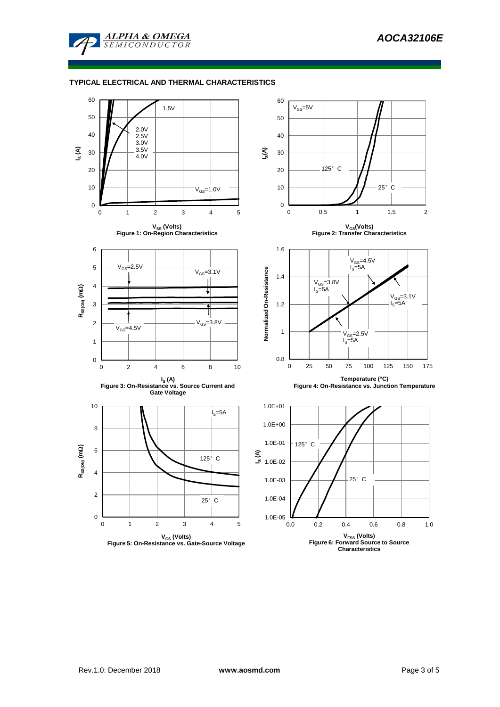

## **TYPICAL ELECTRICAL AND THERMAL CHARACTERISTICS**

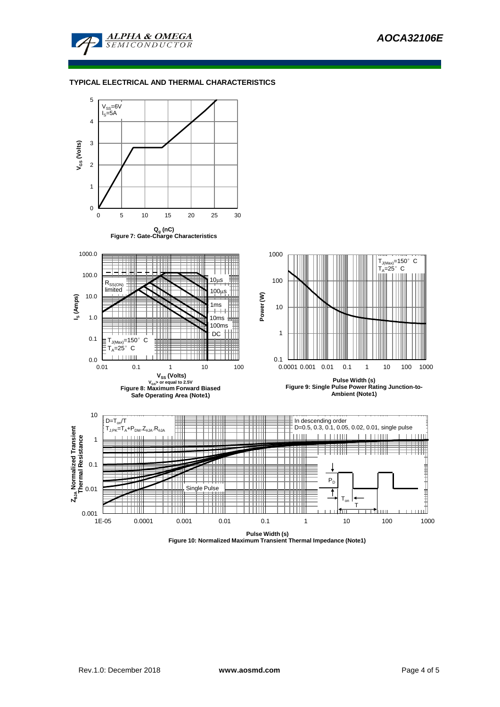

## **TYPICAL ELECTRICAL AND THERMAL CHARACTERISTICS**



**Figure 10: Normalized Maximum Transient Thermal Impedance (Note1)**